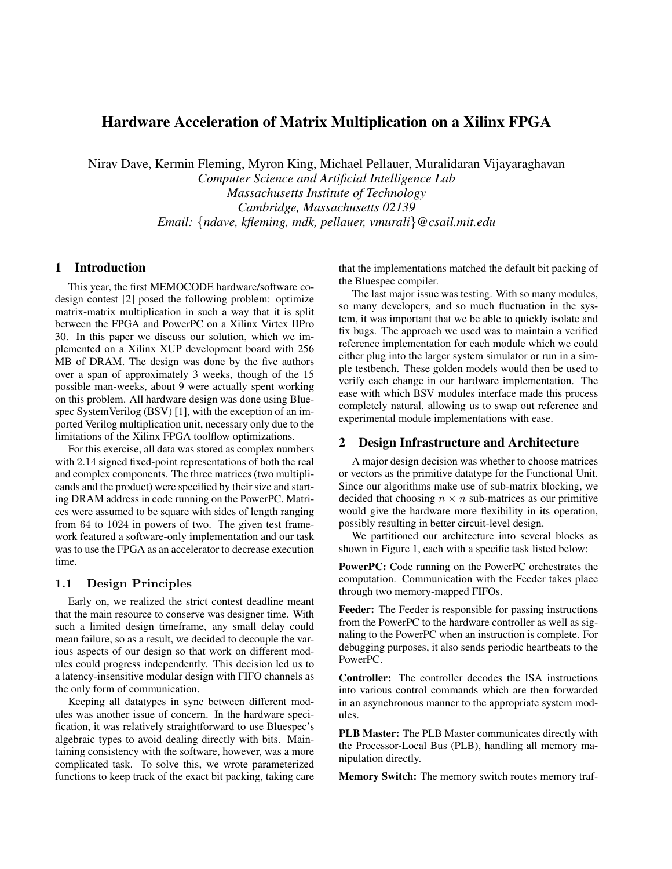# Hardware Acceleration of Matrix Multiplication on a Xilinx FPGA

Nirav Dave, Kermin Fleming, Myron King, Michael Pellauer, Muralidaran Vijayaraghavan

*Computer Science and Artificial Intelligence Lab Massachusetts Institute of Technology Cambridge, Massachusetts 02139 Email:* {*ndave, kfleming, mdk, pellauer, vmurali*}*@csail.mit.edu*

## 1 Introduction

This year, the first MEMOCODE hardware/software codesign contest [2] posed the following problem: optimize matrix-matrix multiplication in such a way that it is split between the FPGA and PowerPC on a Xilinx Virtex IIPro 30. In this paper we discuss our solution, which we implemented on a Xilinx XUP development board with 256 MB of DRAM. The design was done by the five authors over a span of approximately 3 weeks, though of the 15 possible man-weeks, about 9 were actually spent working on this problem. All hardware design was done using Bluespec SystemVerilog (BSV) [1], with the exception of an imported Verilog multiplication unit, necessary only due to the limitations of the Xilinx FPGA toolflow optimizations.

For this exercise, all data was stored as complex numbers with 2.14 signed fixed-point representations of both the real and complex components. The three matrices (two multiplicands and the product) were specified by their size and starting DRAM address in code running on the PowerPC. Matrices were assumed to be square with sides of length ranging from 64 to 1024 in powers of two. The given test framework featured a software-only implementation and our task was to use the FPGA as an accelerator to decrease execution time.

#### 1.1 Design Principles

Early on, we realized the strict contest deadline meant that the main resource to conserve was designer time. With such a limited design timeframe, any small delay could mean failure, so as a result, we decided to decouple the various aspects of our design so that work on different modules could progress independently. This decision led us to a latency-insensitive modular design with FIFO channels as the only form of communication.

Keeping all datatypes in sync between different modules was another issue of concern. In the hardware specification, it was relatively straightforward to use Bluespec's algebraic types to avoid dealing directly with bits. Maintaining consistency with the software, however, was a more complicated task. To solve this, we wrote parameterized functions to keep track of the exact bit packing, taking care that the implementations matched the default bit packing of the Bluespec compiler.

The last major issue was testing. With so many modules, so many developers, and so much fluctuation in the system, it was important that we be able to quickly isolate and fix bugs. The approach we used was to maintain a verified reference implementation for each module which we could either plug into the larger system simulator or run in a simple testbench. These golden models would then be used to verify each change in our hardware implementation. The ease with which BSV modules interface made this process completely natural, allowing us to swap out reference and experimental module implementations with ease.

#### 2 Design Infrastructure and Architecture

A major design decision was whether to choose matrices or vectors as the primitive datatype for the Functional Unit. Since our algorithms make use of sub-matrix blocking, we decided that choosing  $n \times n$  sub-matrices as our primitive would give the hardware more flexibility in its operation, possibly resulting in better circuit-level design.

We partitioned our architecture into several blocks as shown in Figure 1, each with a specific task listed below:

PowerPC: Code running on the PowerPC orchestrates the computation. Communication with the Feeder takes place through two memory-mapped FIFOs.

Feeder: The Feeder is responsible for passing instructions from the PowerPC to the hardware controller as well as signaling to the PowerPC when an instruction is complete. For debugging purposes, it also sends periodic heartbeats to the PowerPC.

Controller: The controller decodes the ISA instructions into various control commands which are then forwarded in an asynchronous manner to the appropriate system modules.

PLB Master: The PLB Master communicates directly with the Processor-Local Bus (PLB), handling all memory manipulation directly.

Memory Switch: The memory switch routes memory traf-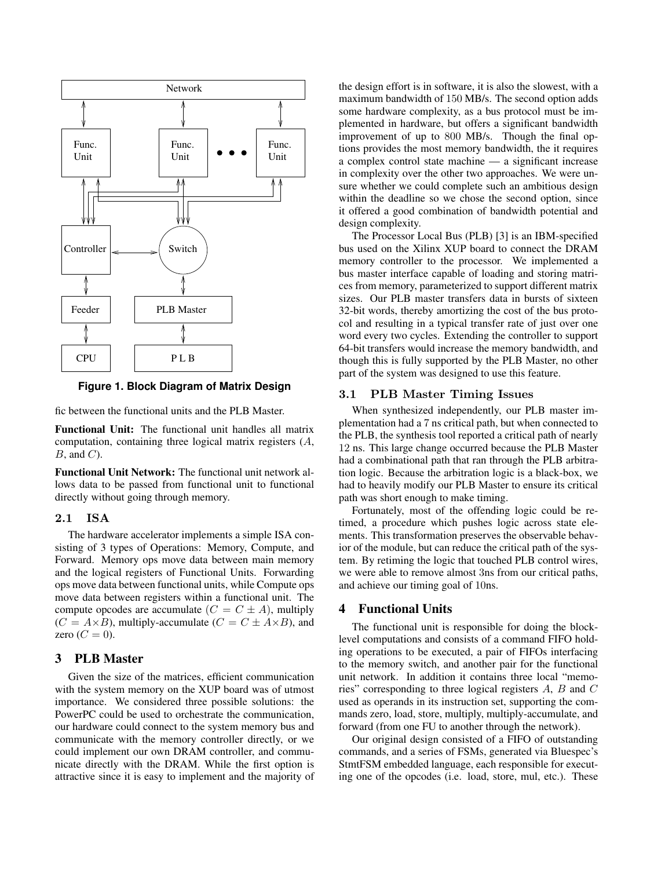

**Figure 1. Block Diagram of Matrix Design**

fic between the functional units and the PLB Master.

Functional Unit: The functional unit handles all matrix computation, containing three logical matrix registers (A,  $B$ , and  $C$ ).

Functional Unit Network: The functional unit network allows data to be passed from functional unit to functional directly without going through memory.

### 2.1 ISA

The hardware accelerator implements a simple ISA consisting of 3 types of Operations: Memory, Compute, and Forward. Memory ops move data between main memory and the logical registers of Functional Units. Forwarding ops move data between functional units, while Compute ops move data between registers within a functional unit. The compute opcodes are accumulate  $(C = C \pm A)$ , multiply  $(C = A \times B)$ , multiply-accumulate  $(C = C \pm A \times B)$ , and zero  $(C = 0)$ .

## 3 PLB Master

Given the size of the matrices, efficient communication with the system memory on the XUP board was of utmost importance. We considered three possible solutions: the PowerPC could be used to orchestrate the communication, our hardware could connect to the system memory bus and communicate with the memory controller directly, or we could implement our own DRAM controller, and communicate directly with the DRAM. While the first option is attractive since it is easy to implement and the majority of the design effort is in software, it is also the slowest, with a maximum bandwidth of 150 MB/s. The second option adds some hardware complexity, as a bus protocol must be implemented in hardware, but offers a significant bandwidth improvement of up to 800 MB/s. Though the final options provides the most memory bandwidth, the it requires a complex control state machine — a significant increase in complexity over the other two approaches. We were unsure whether we could complete such an ambitious design within the deadline so we chose the second option, since it offered a good combination of bandwidth potential and design complexity.

The Processor Local Bus (PLB) [3] is an IBM-specified bus used on the Xilinx XUP board to connect the DRAM memory controller to the processor. We implemented a bus master interface capable of loading and storing matrices from memory, parameterized to support different matrix sizes. Our PLB master transfers data in bursts of sixteen 32-bit words, thereby amortizing the cost of the bus protocol and resulting in a typical transfer rate of just over one word every two cycles. Extending the controller to support 64-bit transfers would increase the memory bandwidth, and though this is fully supported by the PLB Master, no other part of the system was designed to use this feature.

#### 3.1 PLB Master Timing Issues

When synthesized independently, our PLB master implementation had a 7 ns critical path, but when connected to the PLB, the synthesis tool reported a critical path of nearly 12 ns. This large change occurred because the PLB Master had a combinational path that ran through the PLB arbitration logic. Because the arbitration logic is a black-box, we had to heavily modify our PLB Master to ensure its critical path was short enough to make timing.

Fortunately, most of the offending logic could be retimed, a procedure which pushes logic across state elements. This transformation preserves the observable behavior of the module, but can reduce the critical path of the system. By retiming the logic that touched PLB control wires, we were able to remove almost 3ns from our critical paths, and achieve our timing goal of 10ns.

#### 4 Functional Units

The functional unit is responsible for doing the blocklevel computations and consists of a command FIFO holding operations to be executed, a pair of FIFOs interfacing to the memory switch, and another pair for the functional unit network. In addition it contains three local "memories" corresponding to three logical registers A, B and C used as operands in its instruction set, supporting the commands zero, load, store, multiply, multiply-accumulate, and forward (from one FU to another through the network).

Our original design consisted of a FIFO of outstanding commands, and a series of FSMs, generated via Bluespec's StmtFSM embedded language, each responsible for executing one of the opcodes (i.e. load, store, mul, etc.). These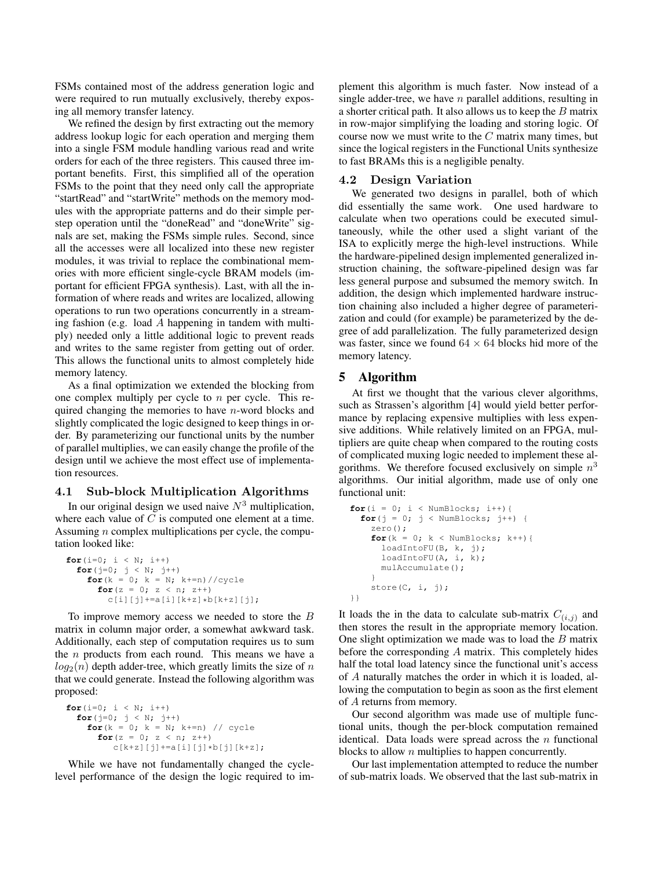FSMs contained most of the address generation logic and were required to run mutually exclusively, thereby exposing all memory transfer latency.

We refined the design by first extracting out the memory address lookup logic for each operation and merging them into a single FSM module handling various read and write orders for each of the three registers. This caused three important benefits. First, this simplified all of the operation FSMs to the point that they need only call the appropriate "startRead" and "startWrite" methods on the memory modules with the appropriate patterns and do their simple perstep operation until the "doneRead" and "doneWrite" signals are set, making the FSMs simple rules. Second, since all the accesses were all localized into these new register modules, it was trivial to replace the combinational memories with more efficient single-cycle BRAM models (important for efficient FPGA synthesis). Last, with all the information of where reads and writes are localized, allowing operations to run two operations concurrently in a streaming fashion (e.g. load A happening in tandem with multiply) needed only a little additional logic to prevent reads and writes to the same register from getting out of order. This allows the functional units to almost completely hide memory latency.

As a final optimization we extended the blocking from one complex multiply per cycle to  $n$  per cycle. This required changing the memories to have  $n$ -word blocks and slightly complicated the logic designed to keep things in order. By parameterizing our functional units by the number of parallel multiplies, we can easily change the profile of the design until we achieve the most effect use of implementation resources.

#### 4.1 Sub-block Multiplication Algorithms

In our original design we used naive  $N<sup>3</sup>$  multiplication, where each value of  $C$  is computed one element at a time. Assuming  $n$  complex multiplications per cycle, the computation looked like:

```
for(i=0; i < N; i++)
  for(j=0; j < N; j++)for(k = 0; k = N; k == n)//cycle
      for(z = 0; z < n; z++)
        c[i][j] +=a[i][k+z] *b[k+z][j];
```
To improve memory access we needed to store the B matrix in column major order, a somewhat awkward task. Additionally, each step of computation requires us to sum the  $n$  products from each round. This means we have a  $log_2(n)$  depth adder-tree, which greatly limits the size of n that we could generate. Instead the following algorithm was proposed:

```
for(i=0; i < N; i++)
  for(j=0; j < N; j++)for(k = 0; k = N; k == 1) // cycle
      for(z = 0; z < n; z++)
         c[k+z][j] +=a[i][j] *b[j][k+z];
```
While we have not fundamentally changed the cyclelevel performance of the design the logic required to implement this algorithm is much faster. Now instead of a single adder-tree, we have  $n$  parallel additions, resulting in a shorter critical path. It also allows us to keep the  $B$  matrix in row-major simplifying the loading and storing logic. Of course now we must write to the  $C$  matrix many times, but since the logical registers in the Functional Units synthesize to fast BRAMs this is a negligible penalty.

### 4.2 Design Variation

We generated two designs in parallel, both of which did essentially the same work. One used hardware to calculate when two operations could be executed simultaneously, while the other used a slight variant of the ISA to explicitly merge the high-level instructions. While the hardware-pipelined design implemented generalized instruction chaining, the software-pipelined design was far less general purpose and subsumed the memory switch. In addition, the design which implemented hardware instruction chaining also included a higher degree of parameterization and could (for example) be parameterized by the degree of add parallelization. The fully parameterized design was faster, since we found  $64 \times 64$  blocks hid more of the memory latency.

### 5 Algorithm

At first we thought that the various clever algorithms, such as Strassen's algorithm [4] would yield better performance by replacing expensive multiplies with less expensive additions. While relatively limited on an FPGA, multipliers are quite cheap when compared to the routing costs of complicated muxing logic needed to implement these algorithms. We therefore focused exclusively on simple  $n^3$ algorithms. Our initial algorithm, made use of only one functional unit:

```
for(i = 0; i < NumBlocks; i++){
  for(j = 0; j < NumBlocks; j++) {
   zero();
    for(k = 0; k < NumBlocks; k++){
      loadIntoFU(B, k, j);
      loadIntoFU(A, i, k);
      mulAccumulate();
    }
    store(C, i, j);
}}
```
It loads the in the data to calculate sub-matrix  $C_{(i,j)}$  and then stores the result in the appropriate memory location. One slight optimization we made was to load the  $B$  matrix before the corresponding A matrix. This completely hides half the total load latency since the functional unit's access of A naturally matches the order in which it is loaded, allowing the computation to begin as soon as the first element of A returns from memory.

Our second algorithm was made use of multiple functional units, though the per-block computation remained identical. Data loads were spread across the  $n$  functional blocks to allow  $n$  multiplies to happen concurrently.

Our last implementation attempted to reduce the number of sub-matrix loads. We observed that the last sub-matrix in